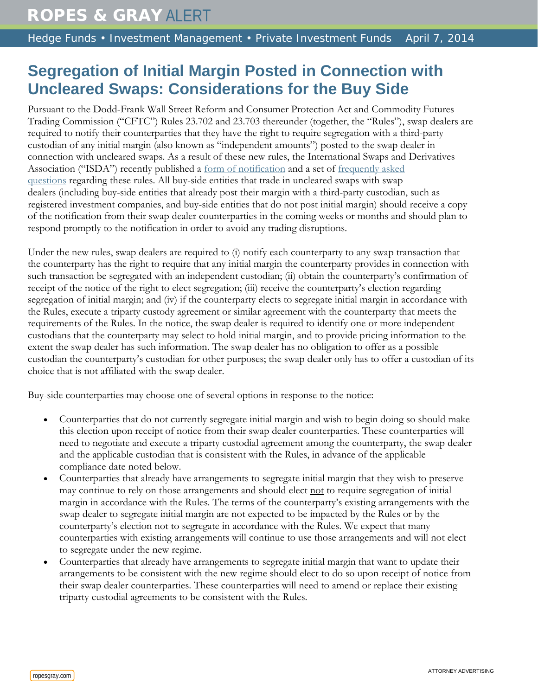## **Segregation of Initial Margin Posted in Connection with Uncleared Swaps: Considerations for the Buy Side**

Pursuant to the Dodd-Frank Wall Street Reform and Consumer Protection Act and Commodity Futures Trading Commission ("CFTC") Rules 23.702 and 23.703 thereunder (together, the "Rules"), swap dealers are required to notify their counterparties that they have the right to require segregation with a third-party custodian of any initial margin (also known as "independent amounts") posted to the swap dealer in connection with uncleared swaps. As a result of these new rules, the International Swaps and Derivatives Association ("ISDA") recently published a [form of notification](http://www2.isda.org/attachment/NjM4NA==/23%20701%20IM%20Segregation%20Election%20Notice%20%28FINAL%29.pdf) and a set of [frequently asked](http://www2.isda.org/attachment/NjM4NQ==/ISDA%20CFTC%20IM%20Segregation%20FAQs%20%2826Mar14%29%28CLEAN%29%20-%2050673.pdf)  [questions](http://www2.isda.org/attachment/NjM4NQ==/ISDA%20CFTC%20IM%20Segregation%20FAQs%20%2826Mar14%29%28CLEAN%29%20-%2050673.pdf) regarding these rules. All buy-side entities that trade in uncleared swaps with swap dealers (including buy-side entities that already post their margin with a third-party custodian, such as registered investment companies, and buy-side entities that do not post initial margin) should receive a copy of the notification from their swap dealer counterparties in the coming weeks or months and should plan to respond promptly to the notification in order to avoid any trading disruptions.

Under the new rules, swap dealers are required to (i) notify each counterparty to any swap transaction that the counterparty has the right to require that any initial margin the counterparty provides in connection with such transaction be segregated with an independent custodian; (ii) obtain the counterparty's confirmation of receipt of the notice of the right to elect segregation; (iii) receive the counterparty's election regarding segregation of initial margin; and (iv) if the counterparty elects to segregate initial margin in accordance with the Rules, execute a triparty custody agreement or similar agreement with the counterparty that meets the requirements of the Rules. In the notice, the swap dealer is required to identify one or more independent custodians that the counterparty may select to hold initial margin, and to provide pricing information to the extent the swap dealer has such information. The swap dealer has no obligation to offer as a possible custodian the counterparty's custodian for other purposes; the swap dealer only has to offer a custodian of its choice that is not affiliated with the swap dealer.

Buy-side counterparties may choose one of several options in response to the notice:

- Counterparties that do not currently segregate initial margin and wish to begin doing so should make this election upon receipt of notice from their swap dealer counterparties. These counterparties will need to negotiate and execute a triparty custodial agreement among the counterparty, the swap dealer and the applicable custodian that is consistent with the Rules, in advance of the applicable compliance date noted below.
- Counterparties that already have arrangements to segregate initial margin that they wish to preserve may continue to rely on those arrangements and should elect not to require segregation of initial margin in accordance with the Rules. The terms of the counterparty's existing arrangements with the swap dealer to segregate initial margin are not expected to be impacted by the Rules or by the counterparty's election not to segregate in accordance with the Rules. We expect that many counterparties with existing arrangements will continue to use those arrangements and will not elect to segregate under the new regime.
- Counterparties that already have arrangements to segregate initial margin that want to update their arrangements to be consistent with the new regime should elect to do so upon receipt of notice from their swap dealer counterparties. These counterparties will need to amend or replace their existing triparty custodial agreements to be consistent with the Rules.